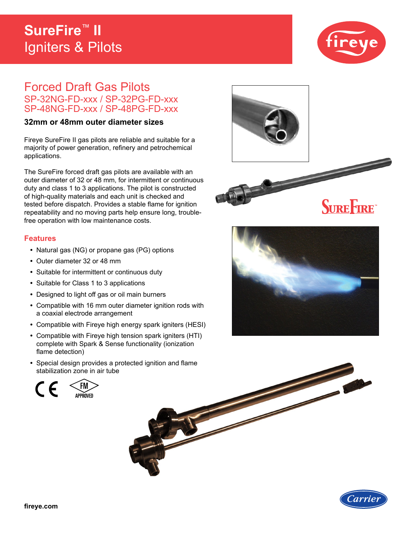## **SureFire**™ **II**  Igniters & Pilots



# Forced Draft Gas Pilots SP-32NG-FD-xxx / SP-32PG-FD-xxx SP-48NG-FD-xxx / SP-48PG-FD-xxx

### **32mm or 48mm outer diameter sizes**

Fireye SureFire II gas pilots are reliable and suitable for a majority of power generation, refinery and petrochemical applications.

The SureFire forced draft gas pilots are available with an outer diameter of 32 or 48 mm, for intermittent or continuous duty and class 1 to 3 applications. The pilot is constructed of high-quality materials and each unit is checked and tested before dispatch. Provides a stable flame for ignition repeatability and no moving parts help ensure long, troublefree operation with low maintenance costs.

### **Features**

- **•** Natural gas (NG) or propane gas (PG) options
- **•** Outer diameter 32 or 48 mm
- **•** Suitable for intermittent or continuous duty
- **•** Suitable for Class 1 to 3 applications
- **•** Designed to light off gas or oil main burners
- **•** Compatible with 16 mm outer diameter ignition rods with a coaxial electrode arrangement
- **•** Compatible with Fireye high energy spark igniters (HESI)
- **•** Compatible with Fireye high tension spark igniters (HTI) complete with Spark & Sense functionality (ionization flame detection)
- **•** Special design provides a protected ignition and flame stabilization zone in air tube